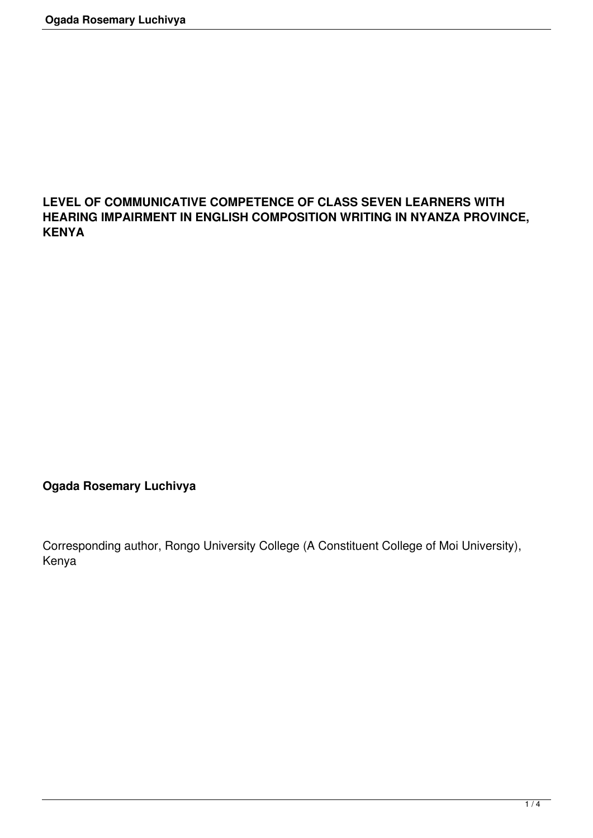## **LEVEL OF COMMUNICATIVE COMPETENCE OF CLASS SEVEN LEARNERS WITH HEARING IMPAIRMENT IN ENGLISH COMPOSITION WRITING IN NYANZA PROVINCE, KENYA**

**Ogada Rosemary Luchivya**

Corresponding author, Rongo University College (A Constituent College of Moi University), Kenya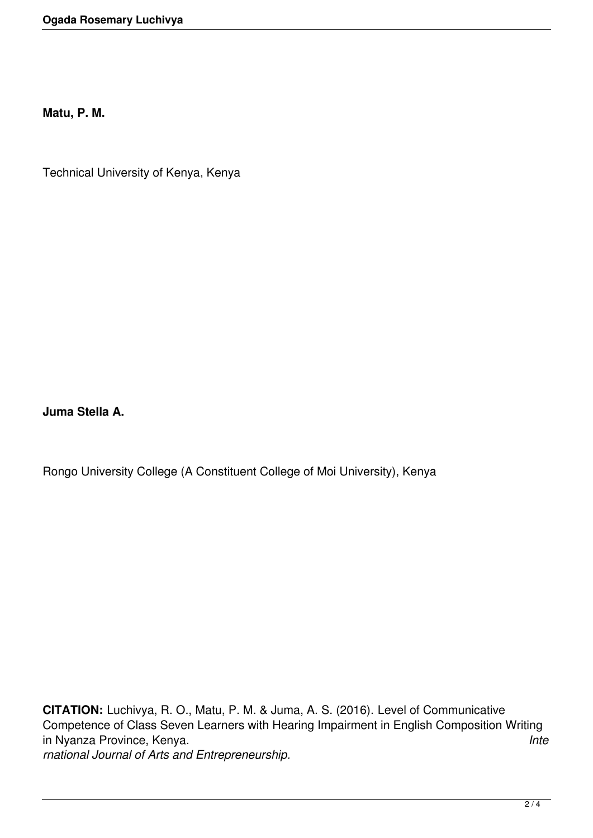**Matu, P. M.**

Technical University of Kenya, Kenya

**Juma Stella A.**

Rongo University College (A Constituent College of Moi University), Kenya

**CITATION:** Luchivya, R. O., Matu, P. M. & Juma, A. S. (2016). Level of Communicative Competence of Class Seven Learners with Hearing Impairment in English Composition Writing in Nyanza Province, Kenya. *Inte rnational Journal of Arts and Entrepreneurship.*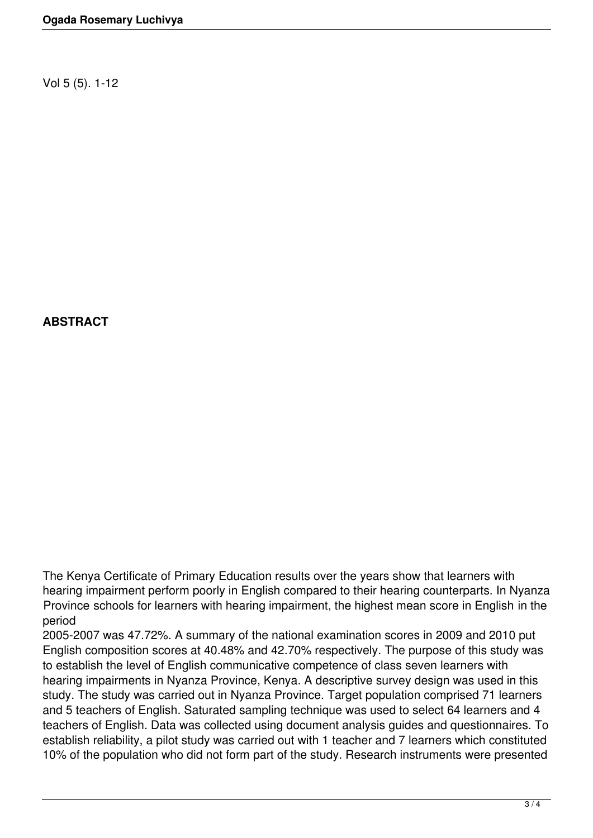Vol 5 (5). 1-12

## **ABSTRACT**

The Kenya Certificate of Primary Education results over the years show that learners with hearing impairment perform poorly in English compared to their hearing counterparts. In Nyanza Province schools for learners with hearing impairment, the highest mean score in English in the period

2005-2007 was 47.72%. A summary of the national examination scores in 2009 and 2010 put English composition scores at 40.48% and 42.70% respectively. The purpose of this study was to establish the level of English communicative competence of class seven learners with hearing impairments in Nyanza Province, Kenya. A descriptive survey design was used in this study. The study was carried out in Nyanza Province. Target population comprised 71 learners and 5 teachers of English. Saturated sampling technique was used to select 64 learners and 4 teachers of English. Data was collected using document analysis guides and questionnaires. To establish reliability, a pilot study was carried out with 1 teacher and 7 learners which constituted 10% of the population who did not form part of the study. Research instruments were presented